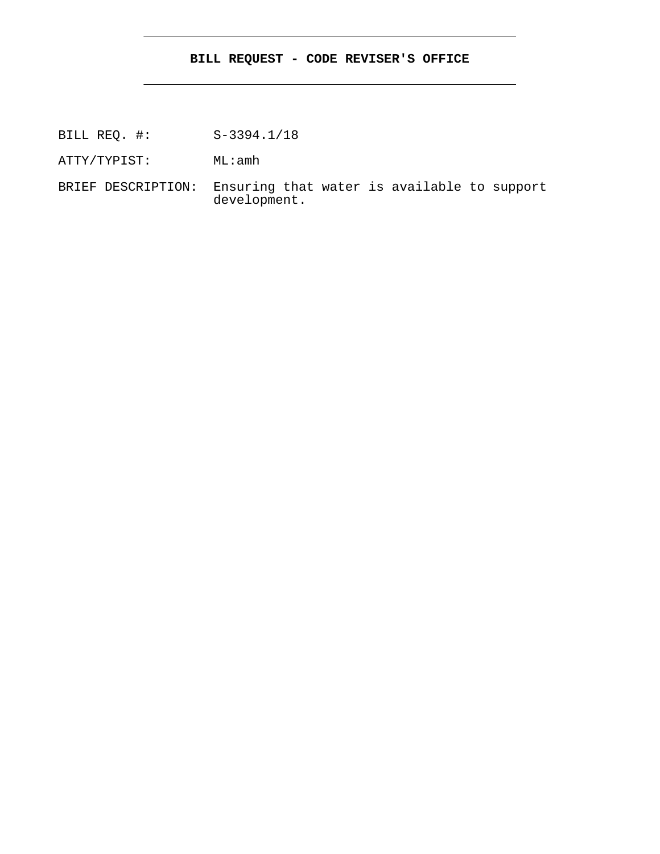## **BILL REQUEST - CODE REVISER'S OFFICE**

BILL REQ. #: S-3394.1/18

ATTY/TYPIST: ML:amh

BRIEF DESCRIPTION: Ensuring that water is available to support development.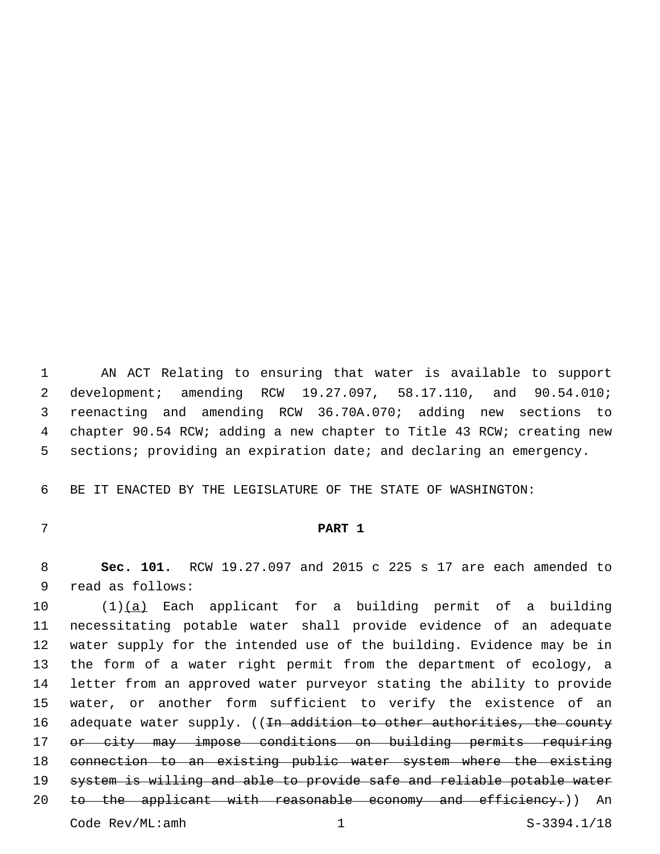AN ACT Relating to ensuring that water is available to support development; amending RCW 19.27.097, 58.17.110, and 90.54.010; reenacting and amending RCW 36.70A.070; adding new sections to chapter 90.54 RCW; adding a new chapter to Title 43 RCW; creating new 5 sections; providing an expiration date; and declaring an emergency.

BE IT ENACTED BY THE LEGISLATURE OF THE STATE OF WASHINGTON:

## **PART 1**

 **Sec. 101.** RCW 19.27.097 and 2015 c 225 s 17 are each amended to 9 read as follows:

 (1)(a) Each applicant for a building permit of a building necessitating potable water shall provide evidence of an adequate water supply for the intended use of the building. Evidence may be in the form of a water right permit from the department of ecology, a letter from an approved water purveyor stating the ability to provide water, or another form sufficient to verify the existence of an 16 adequate water supply. ((In addition to other authorities, the county or city may impose conditions on building permits requiring connection to an existing public water system where the existing system is willing and able to provide safe and reliable potable water 20 to the applicant with reasonable economy and efficiency.) An Code Rev/ML:amh 1 S-3394.1/18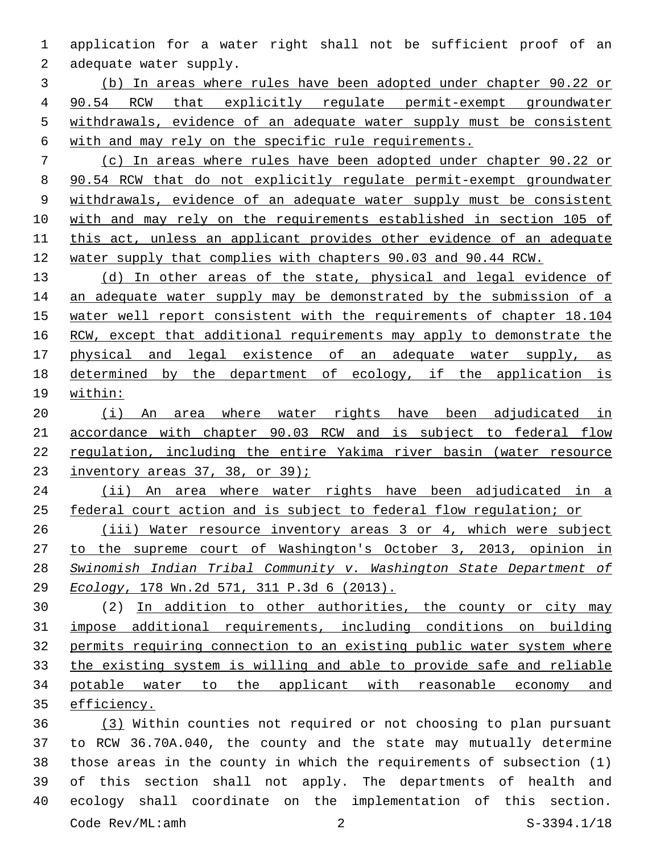application for a water right shall not be sufficient proof of an 2 adequate water supply.

 (b) In areas where rules have been adopted under chapter 90.22 or 90.54 RCW that explicitly regulate permit-exempt groundwater withdrawals, evidence of an adequate water supply must be consistent with and may rely on the specific rule requirements.

 (c) In areas where rules have been adopted under chapter 90.22 or 90.54 RCW that do not explicitly regulate permit-exempt groundwater withdrawals, evidence of an adequate water supply must be consistent with and may rely on the requirements established in section 105 of this act, unless an applicant provides other evidence of an adequate water supply that complies with chapters 90.03 and 90.44 RCW.

 (d) In other areas of the state, physical and legal evidence of 14 an adequate water supply may be demonstrated by the submission of a water well report consistent with the requirements of chapter 18.104 16 RCW, except that additional requirements may apply to demonstrate the physical and legal existence of an adequate water supply, as determined by the department of ecology, if the application is within:

 (i) An area where water rights have been adjudicated in accordance with chapter 90.03 RCW and is subject to federal flow regulation, including the entire Yakima river basin (water resource inventory areas 37, 38, or 39);

 (ii) An area where water rights have been adjudicated in a 25 federal court action and is subject to federal flow regulation; or

 (iii) Water resource inventory areas 3 or 4, which were subject to the supreme court of Washington's October 3, 2013, opinion in *Swinomish Indian Tribal Community v. Washington State Department of Ecology*, 178 Wn.2d 571, 311 P.3d 6 (2013).

 (2) In addition to other authorities, the county or city may impose additional requirements, including conditions on building permits requiring connection to an existing public water system where the existing system is willing and able to provide safe and reliable potable water to the applicant with reasonable economy and efficiency.

 (3) Within counties not required or not choosing to plan pursuant to RCW 36.70A.040, the county and the state may mutually determine those areas in the county in which the requirements of subsection (1) of this section shall not apply. The departments of health and ecology shall coordinate on the implementation of this section. Code Rev/ML:amh 2 S-3394.1/18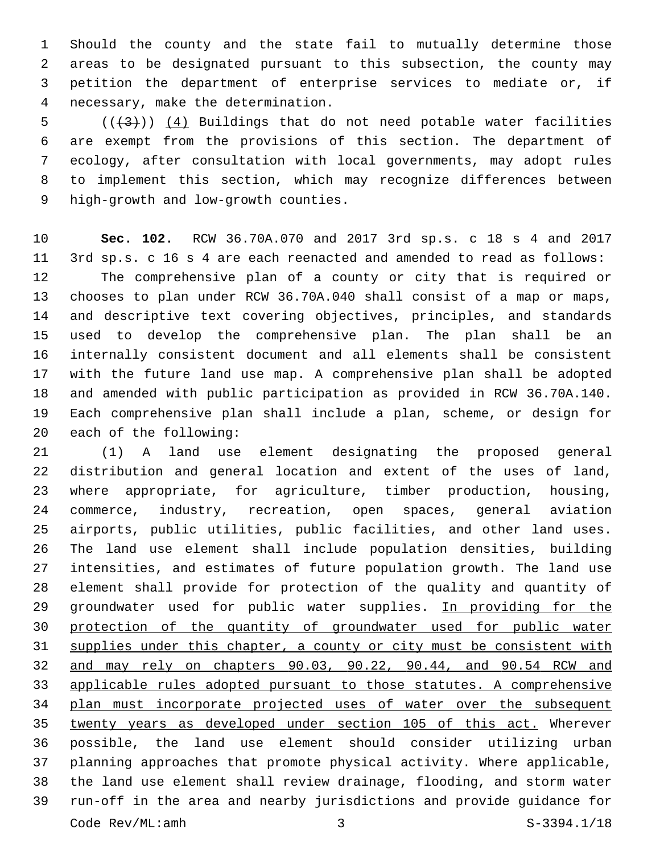Should the county and the state fail to mutually determine those areas to be designated pursuant to this subsection, the county may petition the department of enterprise services to mediate or, if necessary, make the determination.4

 $((+3))$   $(4)$  Buildings that do not need potable water facilities are exempt from the provisions of this section. The department of ecology, after consultation with local governments, may adopt rules to implement this section, which may recognize differences between 9 high-growth and low-growth counties.

 **Sec. 102.** RCW 36.70A.070 and 2017 3rd sp.s. c 18 s 4 and 2017 3rd sp.s. c 16 s 4 are each reenacted and amended to read as follows: The comprehensive plan of a county or city that is required or chooses to plan under RCW 36.70A.040 shall consist of a map or maps, and descriptive text covering objectives, principles, and standards used to develop the comprehensive plan. The plan shall be an internally consistent document and all elements shall be consistent with the future land use map. A comprehensive plan shall be adopted and amended with public participation as provided in RCW 36.70A.140. Each comprehensive plan shall include a plan, scheme, or design for 20 each of the following:

 (1) A land use element designating the proposed general distribution and general location and extent of the uses of land, where appropriate, for agriculture, timber production, housing, commerce, industry, recreation, open spaces, general aviation airports, public utilities, public facilities, and other land uses. The land use element shall include population densities, building intensities, and estimates of future population growth. The land use element shall provide for protection of the quality and quantity of 29 groundwater used for public water supplies. In providing for the protection of the quantity of groundwater used for public water 31 supplies under this chapter, a county or city must be consistent with and may rely on chapters 90.03, 90.22, 90.44, and 90.54 RCW and applicable rules adopted pursuant to those statutes. A comprehensive plan must incorporate projected uses of water over the subsequent twenty years as developed under section 105 of this act. Wherever possible, the land use element should consider utilizing urban planning approaches that promote physical activity. Where applicable, the land use element shall review drainage, flooding, and storm water run-off in the area and nearby jurisdictions and provide guidance for Code Rev/ML:amh 3 S-3394.1/18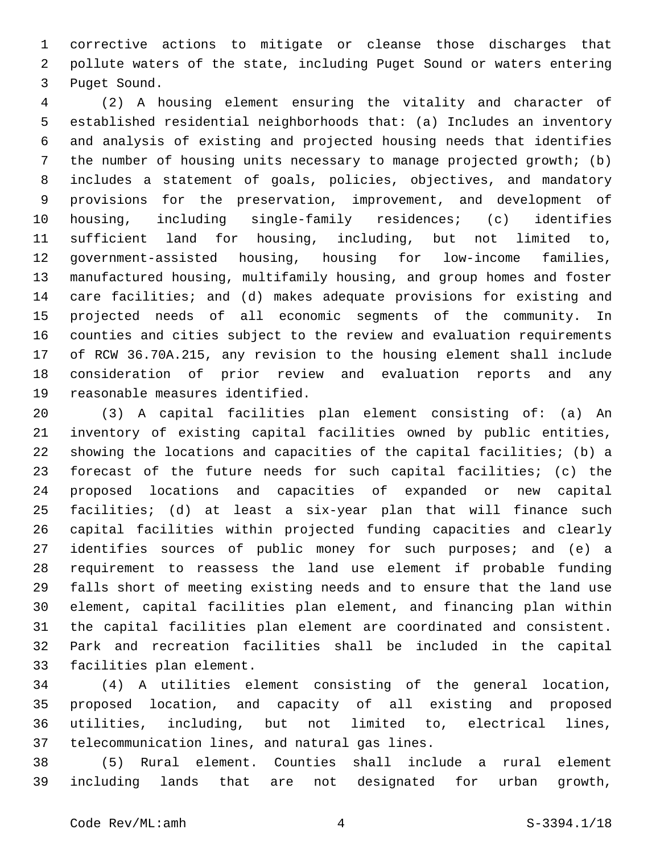corrective actions to mitigate or cleanse those discharges that pollute waters of the state, including Puget Sound or waters entering 3 Puget Sound.

 (2) A housing element ensuring the vitality and character of established residential neighborhoods that: (a) Includes an inventory and analysis of existing and projected housing needs that identifies the number of housing units necessary to manage projected growth; (b) includes a statement of goals, policies, objectives, and mandatory provisions for the preservation, improvement, and development of housing, including single-family residences; (c) identifies sufficient land for housing, including, but not limited to, government-assisted housing, housing for low-income families, manufactured housing, multifamily housing, and group homes and foster care facilities; and (d) makes adequate provisions for existing and projected needs of all economic segments of the community. In counties and cities subject to the review and evaluation requirements of RCW 36.70A.215, any revision to the housing element shall include consideration of prior review and evaluation reports and any 19 reasonable measures identified.

 (3) A capital facilities plan element consisting of: (a) An inventory of existing capital facilities owned by public entities, showing the locations and capacities of the capital facilities; (b) a forecast of the future needs for such capital facilities; (c) the proposed locations and capacities of expanded or new capital facilities; (d) at least a six-year plan that will finance such capital facilities within projected funding capacities and clearly identifies sources of public money for such purposes; and (e) a requirement to reassess the land use element if probable funding falls short of meeting existing needs and to ensure that the land use element, capital facilities plan element, and financing plan within the capital facilities plan element are coordinated and consistent. Park and recreation facilities shall be included in the capital 33 facilities plan element.

 (4) A utilities element consisting of the general location, proposed location, and capacity of all existing and proposed utilities, including, but not limited to, electrical lines, 37 telecommunication lines, and natural gas lines.

 (5) Rural element. Counties shall include a rural element including lands that are not designated for urban growth,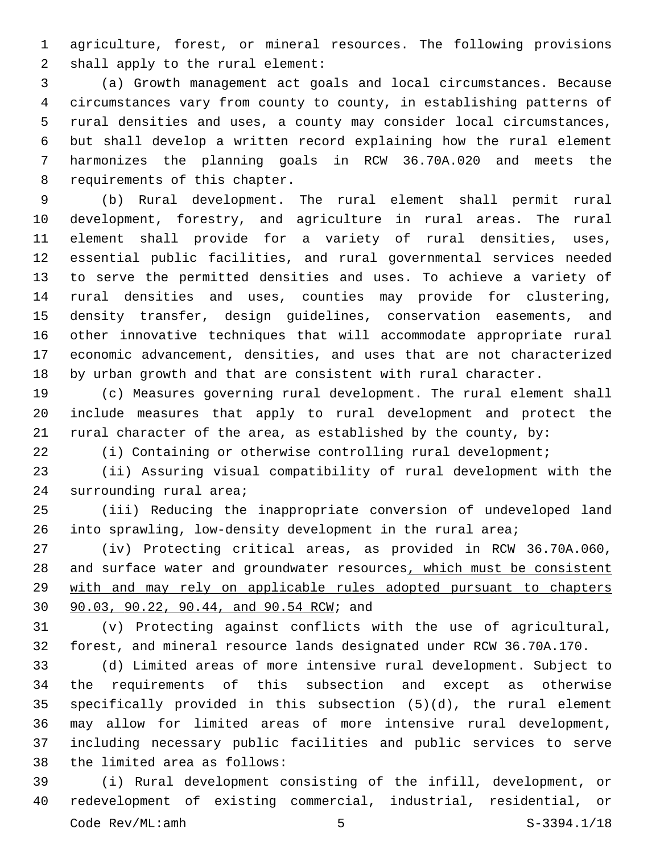agriculture, forest, or mineral resources. The following provisions 2 shall apply to the rural element:

 (a) Growth management act goals and local circumstances. Because circumstances vary from county to county, in establishing patterns of rural densities and uses, a county may consider local circumstances, but shall develop a written record explaining how the rural element harmonizes the planning goals in RCW 36.70A.020 and meets the 8 requirements of this chapter.

 (b) Rural development. The rural element shall permit rural development, forestry, and agriculture in rural areas. The rural element shall provide for a variety of rural densities, uses, essential public facilities, and rural governmental services needed to serve the permitted densities and uses. To achieve a variety of rural densities and uses, counties may provide for clustering, density transfer, design guidelines, conservation easements, and other innovative techniques that will accommodate appropriate rural economic advancement, densities, and uses that are not characterized by urban growth and that are consistent with rural character.

 (c) Measures governing rural development. The rural element shall include measures that apply to rural development and protect the rural character of the area, as established by the county, by:

(i) Containing or otherwise controlling rural development;

 (ii) Assuring visual compatibility of rural development with the 24 surrounding rural area;

 (iii) Reducing the inappropriate conversion of undeveloped land into sprawling, low-density development in the rural area;

 (iv) Protecting critical areas, as provided in RCW 36.70A.060, 28 and surface water and groundwater resources, which must be consistent with and may rely on applicable rules adopted pursuant to chapters 30 90.03, 90.22, 90.44, and 90.54 RCW; and

 (v) Protecting against conflicts with the use of agricultural, forest, and mineral resource lands designated under RCW 36.70A.170.

 (d) Limited areas of more intensive rural development. Subject to the requirements of this subsection and except as otherwise specifically provided in this subsection (5)(d), the rural element may allow for limited areas of more intensive rural development, including necessary public facilities and public services to serve 38 the limited area as follows:

 (i) Rural development consisting of the infill, development, or redevelopment of existing commercial, industrial, residential, or  $\text{Code } \text{Rev}/\text{ML}:\text{amb}$   $\begin{array}{ccc} 5 & 5 & \text{S}-3394.1/18 \\ \end{array}$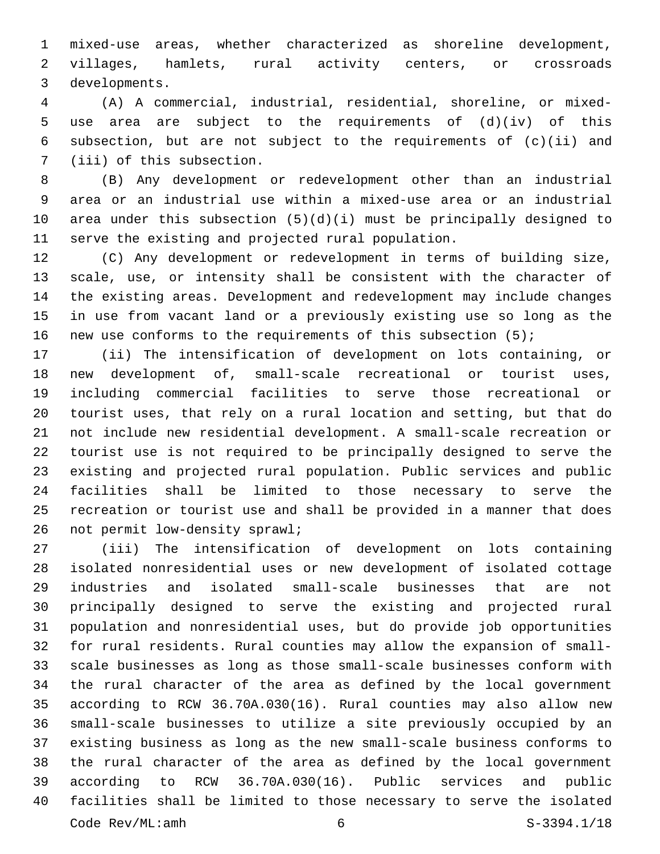mixed-use areas, whether characterized as shoreline development, villages, hamlets, rural activity centers, or crossroads 3 developments.

 (A) A commercial, industrial, residential, shoreline, or mixed- use area are subject to the requirements of (d)(iv) of this subsection, but are not subject to the requirements of (c)(ii) and 7 (iii) of this subsection.

 (B) Any development or redevelopment other than an industrial area or an industrial use within a mixed-use area or an industrial area under this subsection (5)(d)(i) must be principally designed to serve the existing and projected rural population.

 (C) Any development or redevelopment in terms of building size, scale, use, or intensity shall be consistent with the character of the existing areas. Development and redevelopment may include changes in use from vacant land or a previously existing use so long as the new use conforms to the requirements of this subsection (5);

 (ii) The intensification of development on lots containing, or new development of, small-scale recreational or tourist uses, including commercial facilities to serve those recreational or tourist uses, that rely on a rural location and setting, but that do not include new residential development. A small-scale recreation or tourist use is not required to be principally designed to serve the existing and projected rural population. Public services and public facilities shall be limited to those necessary to serve the recreation or tourist use and shall be provided in a manner that does 26 not permit low-density sprawl;

 (iii) The intensification of development on lots containing isolated nonresidential uses or new development of isolated cottage industries and isolated small-scale businesses that are not principally designed to serve the existing and projected rural population and nonresidential uses, but do provide job opportunities for rural residents. Rural counties may allow the expansion of small- scale businesses as long as those small-scale businesses conform with the rural character of the area as defined by the local government according to RCW 36.70A.030(16). Rural counties may also allow new small-scale businesses to utilize a site previously occupied by an existing business as long as the new small-scale business conforms to the rural character of the area as defined by the local government according to RCW 36.70A.030(16). Public services and public facilities shall be limited to those necessary to serve the isolated Code Rev/ML:amh 6 6 S-3394.1/18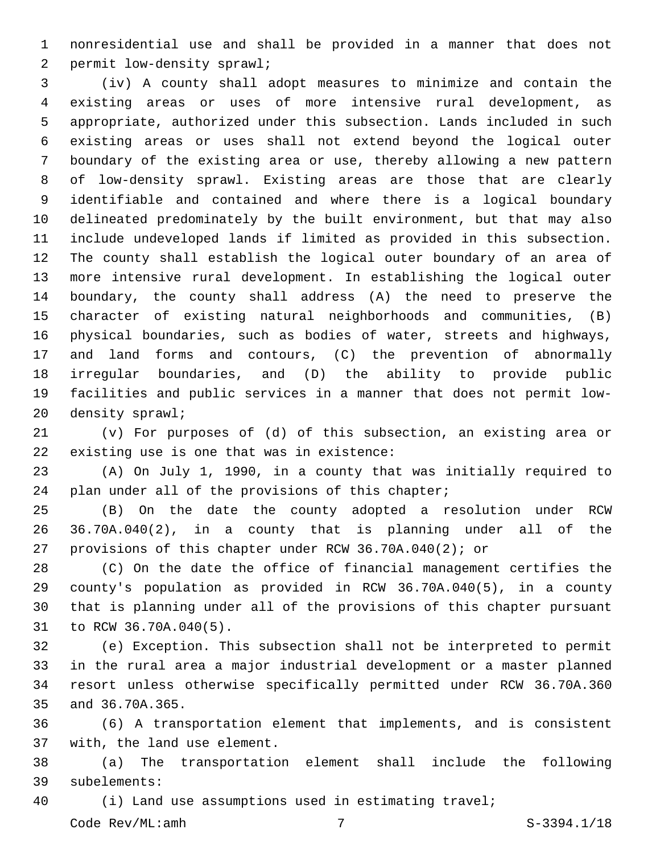nonresidential use and shall be provided in a manner that does not 2 permit low-density sprawl;

 (iv) A county shall adopt measures to minimize and contain the existing areas or uses of more intensive rural development, as appropriate, authorized under this subsection. Lands included in such existing areas or uses shall not extend beyond the logical outer boundary of the existing area or use, thereby allowing a new pattern of low-density sprawl. Existing areas are those that are clearly identifiable and contained and where there is a logical boundary delineated predominately by the built environment, but that may also include undeveloped lands if limited as provided in this subsection. The county shall establish the logical outer boundary of an area of more intensive rural development. In establishing the logical outer boundary, the county shall address (A) the need to preserve the character of existing natural neighborhoods and communities, (B) physical boundaries, such as bodies of water, streets and highways, and land forms and contours, (C) the prevention of abnormally irregular boundaries, and (D) the ability to provide public facilities and public services in a manner that does not permit low-20 density sprawl;

 (v) For purposes of (d) of this subsection, an existing area or 22 existing use is one that was in existence:

 (A) On July 1, 1990, in a county that was initially required to 24 plan under all of the provisions of this chapter;

 (B) On the date the county adopted a resolution under RCW 36.70A.040(2), in a county that is planning under all of the provisions of this chapter under RCW 36.70A.040(2); or

 (C) On the date the office of financial management certifies the county's population as provided in RCW 36.70A.040(5), in a county that is planning under all of the provisions of this chapter pursuant 31 to RCW 36.70A.040(5).

 (e) Exception. This subsection shall not be interpreted to permit in the rural area a major industrial development or a master planned resort unless otherwise specifically permitted under RCW 36.70A.360 35 and 36.70A.365.

 (6) A transportation element that implements, and is consistent 37 with, the land use element.

 (a) The transportation element shall include the following subelements:39

(i) Land use assumptions used in estimating travel;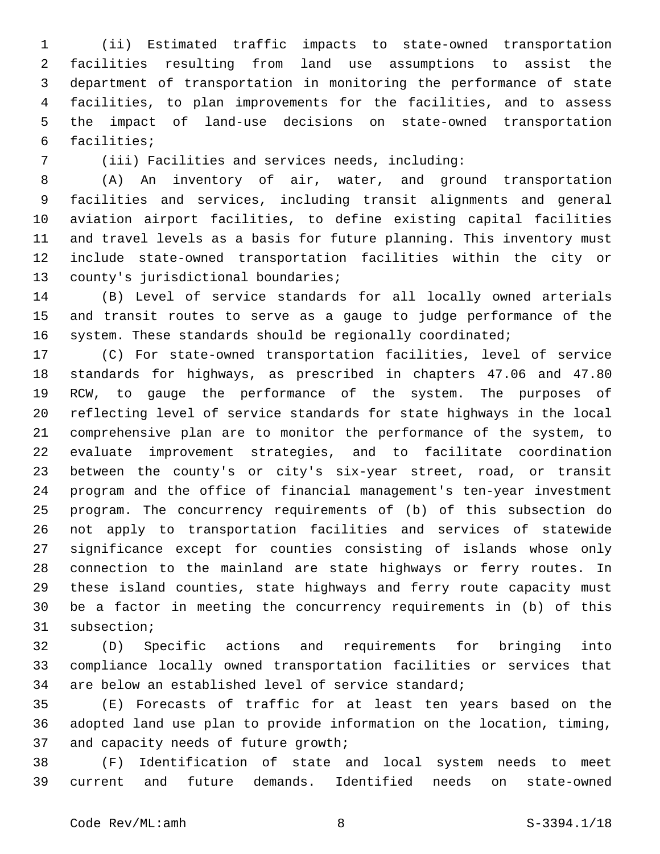(ii) Estimated traffic impacts to state-owned transportation facilities resulting from land use assumptions to assist the department of transportation in monitoring the performance of state facilities, to plan improvements for the facilities, and to assess the impact of land-use decisions on state-owned transportation 6 facilities;

(iii) Facilities and services needs, including:

 (A) An inventory of air, water, and ground transportation facilities and services, including transit alignments and general aviation airport facilities, to define existing capital facilities and travel levels as a basis for future planning. This inventory must include state-owned transportation facilities within the city or 13 county's jurisdictional boundaries;

 (B) Level of service standards for all locally owned arterials and transit routes to serve as a gauge to judge performance of the 16 system. These standards should be regionally coordinated;

 (C) For state-owned transportation facilities, level of service standards for highways, as prescribed in chapters 47.06 and 47.80 RCW, to gauge the performance of the system. The purposes of reflecting level of service standards for state highways in the local comprehensive plan are to monitor the performance of the system, to evaluate improvement strategies, and to facilitate coordination between the county's or city's six-year street, road, or transit program and the office of financial management's ten-year investment program. The concurrency requirements of (b) of this subsection do not apply to transportation facilities and services of statewide significance except for counties consisting of islands whose only connection to the mainland are state highways or ferry routes. In these island counties, state highways and ferry route capacity must be a factor in meeting the concurrency requirements in (b) of this 31 subsection;

 (D) Specific actions and requirements for bringing into compliance locally owned transportation facilities or services that are below an established level of service standard;

 (E) Forecasts of traffic for at least ten years based on the adopted land use plan to provide information on the location, timing, 37 and capacity needs of future growth;

 (F) Identification of state and local system needs to meet current and future demands. Identified needs on state-owned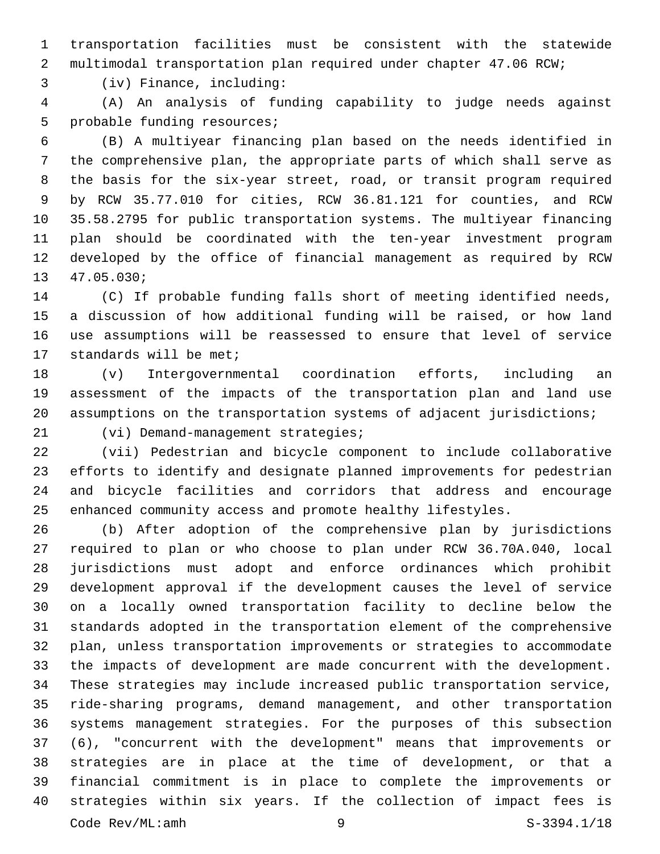transportation facilities must be consistent with the statewide multimodal transportation plan required under chapter 47.06 RCW;

(iv) Finance, including:3

 (A) An analysis of funding capability to judge needs against 5 probable funding resources;

 (B) A multiyear financing plan based on the needs identified in the comprehensive plan, the appropriate parts of which shall serve as the basis for the six-year street, road, or transit program required by RCW 35.77.010 for cities, RCW 36.81.121 for counties, and RCW 35.58.2795 for public transportation systems. The multiyear financing plan should be coordinated with the ten-year investment program developed by the office of financial management as required by RCW 13 47.05.030;

 (C) If probable funding falls short of meeting identified needs, a discussion of how additional funding will be raised, or how land use assumptions will be reassessed to ensure that level of service 17 standards will be met;

 (v) Intergovernmental coordination efforts, including an assessment of the impacts of the transportation plan and land use 20 assumptions on the transportation systems of adjacent jurisdictions;

21 (vi) Demand-management strategies;

 (vii) Pedestrian and bicycle component to include collaborative efforts to identify and designate planned improvements for pedestrian and bicycle facilities and corridors that address and encourage enhanced community access and promote healthy lifestyles.

 (b) After adoption of the comprehensive plan by jurisdictions required to plan or who choose to plan under RCW 36.70A.040, local jurisdictions must adopt and enforce ordinances which prohibit development approval if the development causes the level of service on a locally owned transportation facility to decline below the standards adopted in the transportation element of the comprehensive plan, unless transportation improvements or strategies to accommodate the impacts of development are made concurrent with the development. These strategies may include increased public transportation service, ride-sharing programs, demand management, and other transportation systems management strategies. For the purposes of this subsection (6), "concurrent with the development" means that improvements or strategies are in place at the time of development, or that a financial commitment is in place to complete the improvements or strategies within six years. If the collection of impact fees is Code Rev/ML:amh 9 9 S-3394.1/18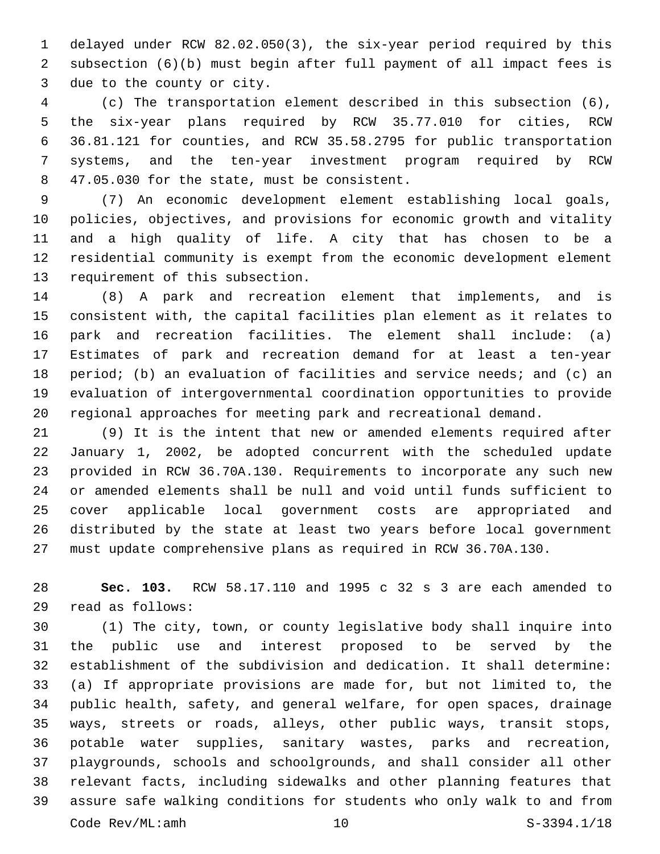delayed under RCW 82.02.050(3), the six-year period required by this subsection (6)(b) must begin after full payment of all impact fees is 3 due to the county or city.

 (c) The transportation element described in this subsection (6), the six-year plans required by RCW 35.77.010 for cities, RCW 36.81.121 for counties, and RCW 35.58.2795 for public transportation systems, and the ten-year investment program required by RCW 8 47.05.030 for the state, must be consistent.

 (7) An economic development element establishing local goals, policies, objectives, and provisions for economic growth and vitality and a high quality of life. A city that has chosen to be a residential community is exempt from the economic development element 13 requirement of this subsection.

 (8) A park and recreation element that implements, and is consistent with, the capital facilities plan element as it relates to park and recreation facilities. The element shall include: (a) Estimates of park and recreation demand for at least a ten-year 18 period; (b) an evaluation of facilities and service needs; and (c) an evaluation of intergovernmental coordination opportunities to provide regional approaches for meeting park and recreational demand.

 (9) It is the intent that new or amended elements required after January 1, 2002, be adopted concurrent with the scheduled update provided in RCW 36.70A.130. Requirements to incorporate any such new or amended elements shall be null and void until funds sufficient to cover applicable local government costs are appropriated and distributed by the state at least two years before local government must update comprehensive plans as required in RCW 36.70A.130.

 **Sec. 103.** RCW 58.17.110 and 1995 c 32 s 3 are each amended to read as follows:29

 (1) The city, town, or county legislative body shall inquire into the public use and interest proposed to be served by the establishment of the subdivision and dedication. It shall determine: (a) If appropriate provisions are made for, but not limited to, the public health, safety, and general welfare, for open spaces, drainage ways, streets or roads, alleys, other public ways, transit stops, potable water supplies, sanitary wastes, parks and recreation, playgrounds, schools and schoolgrounds, and shall consider all other relevant facts, including sidewalks and other planning features that assure safe walking conditions for students who only walk to and from Code Rev/ML:amh 10 S-3394.1/18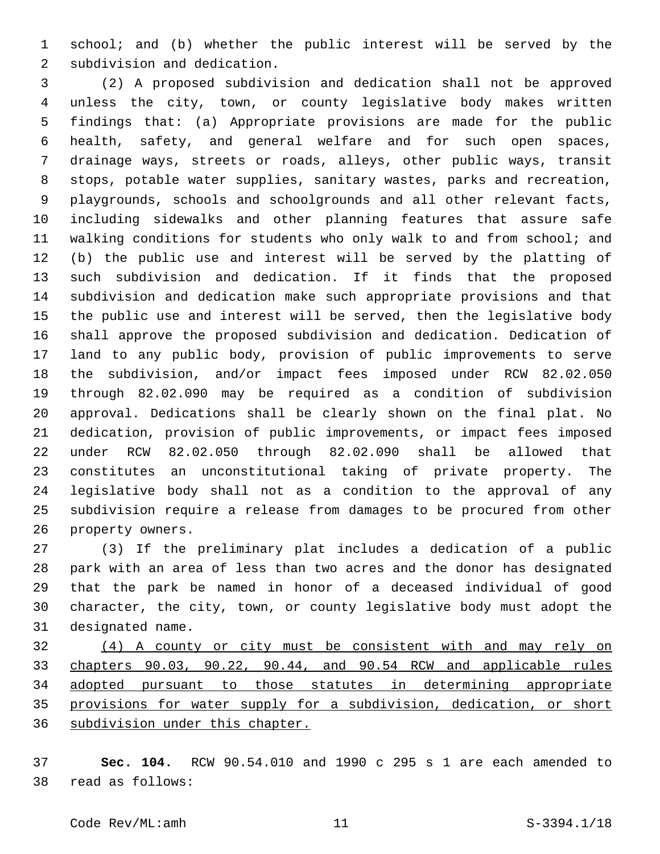school; and (b) whether the public interest will be served by the 2 subdivision and dedication.

 (2) A proposed subdivision and dedication shall not be approved unless the city, town, or county legislative body makes written findings that: (a) Appropriate provisions are made for the public health, safety, and general welfare and for such open spaces, drainage ways, streets or roads, alleys, other public ways, transit stops, potable water supplies, sanitary wastes, parks and recreation, playgrounds, schools and schoolgrounds and all other relevant facts, including sidewalks and other planning features that assure safe walking conditions for students who only walk to and from school; and (b) the public use and interest will be served by the platting of such subdivision and dedication. If it finds that the proposed subdivision and dedication make such appropriate provisions and that the public use and interest will be served, then the legislative body shall approve the proposed subdivision and dedication. Dedication of land to any public body, provision of public improvements to serve the subdivision, and/or impact fees imposed under RCW 82.02.050 through 82.02.090 may be required as a condition of subdivision approval. Dedications shall be clearly shown on the final plat. No dedication, provision of public improvements, or impact fees imposed under RCW 82.02.050 through 82.02.090 shall be allowed that constitutes an unconstitutional taking of private property. The legislative body shall not as a condition to the approval of any subdivision require a release from damages to be procured from other 26 property owners.

 (3) If the preliminary plat includes a dedication of a public park with an area of less than two acres and the donor has designated that the park be named in honor of a deceased individual of good character, the city, town, or county legislative body must adopt the 31 designated name.

 (4) A county or city must be consistent with and may rely on chapters 90.03, 90.22, 90.44, and 90.54 RCW and applicable rules adopted pursuant to those statutes in determining appropriate provisions for water supply for a subdivision, dedication, or short subdivision under this chapter.

 **Sec. 104.** RCW 90.54.010 and 1990 c 295 s 1 are each amended to read as follows:38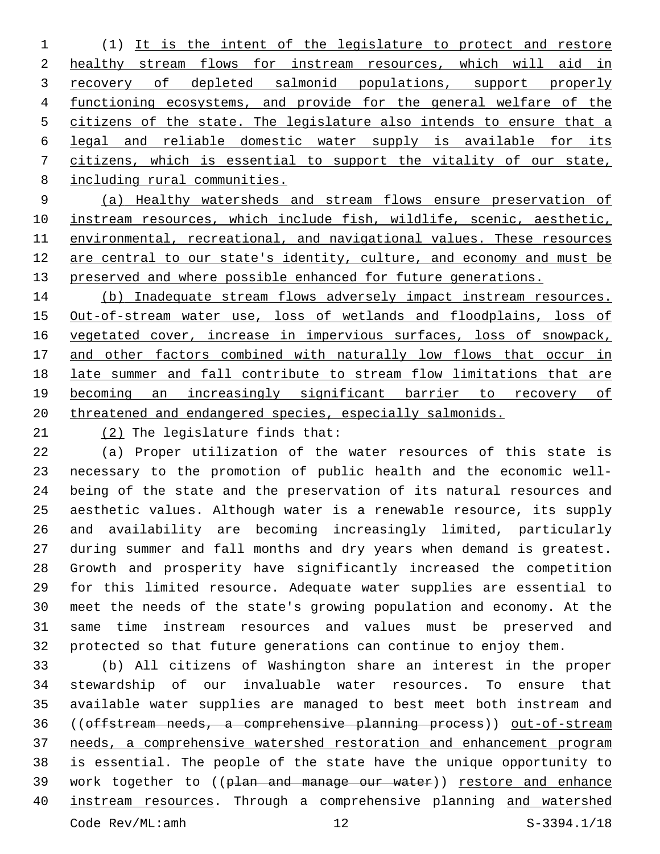(1) It is the intent of the legislature to protect and restore healthy stream flows for instream resources, which will aid in 3 recovery of depleted salmonid populations, support properly functioning ecosystems, and provide for the general welfare of the citizens of the state. The legislature also intends to ensure that a legal and reliable domestic water supply is available for its citizens, which is essential to support the vitality of our state, including rural communities.

 (a) Healthy watersheds and stream flows ensure preservation of instream resources, which include fish, wildlife, scenic, aesthetic, environmental, recreational, and navigational values. These resources are central to our state's identity, culture, and economy and must be 13 preserved and where possible enhanced for future generations.

14 (b) Inadequate stream flows adversely impact instream resources. Out-of-stream water use, loss of wetlands and floodplains, loss of vegetated cover, increase in impervious surfaces, loss of snowpack, 17 and other factors combined with naturally low flows that occur in late summer and fall contribute to stream flow limitations that are becoming an increasingly significant barrier to recovery of threatened and endangered species, especially salmonids.

21  $(2)$  The legislature finds that:

 (a) Proper utilization of the water resources of this state is necessary to the promotion of public health and the economic well- being of the state and the preservation of its natural resources and aesthetic values. Although water is a renewable resource, its supply and availability are becoming increasingly limited, particularly during summer and fall months and dry years when demand is greatest. Growth and prosperity have significantly increased the competition for this limited resource. Adequate water supplies are essential to meet the needs of the state's growing population and economy. At the same time instream resources and values must be preserved and protected so that future generations can continue to enjoy them.

 (b) All citizens of Washington share an interest in the proper stewardship of our invaluable water resources. To ensure that available water supplies are managed to best meet both instream and 36 ((offstream needs, a comprehensive planning process)) out-of-stream needs, a comprehensive watershed restoration and enhancement program is essential. The people of the state have the unique opportunity to 39 work together to ((plan and manage our water)) restore and enhance instream resources. Through a comprehensive planning and watershed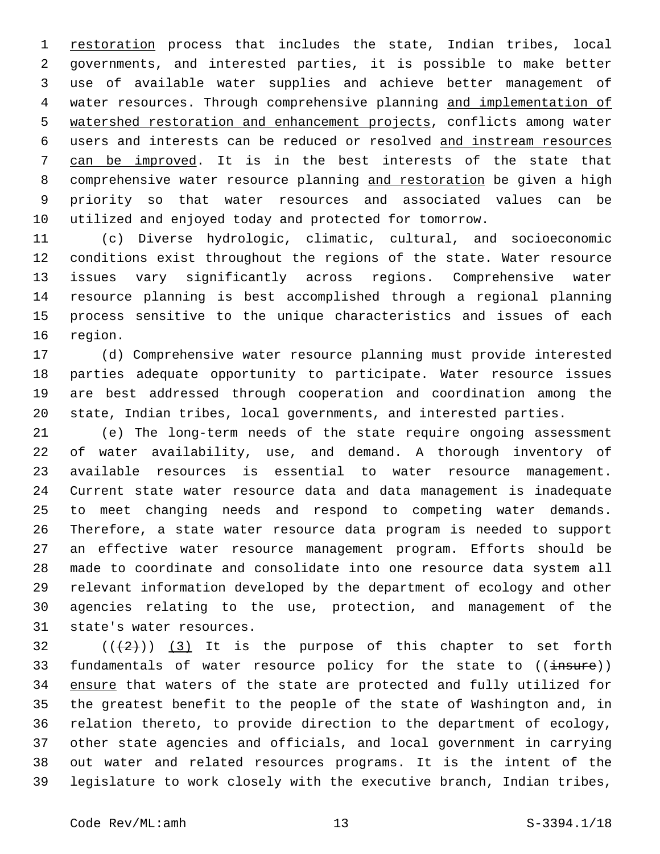restoration process that includes the state, Indian tribes, local governments, and interested parties, it is possible to make better use of available water supplies and achieve better management of water resources. Through comprehensive planning and implementation of 5 watershed restoration and enhancement projects, conflicts among water users and interests can be reduced or resolved and instream resources can be improved. It is in the best interests of the state that comprehensive water resource planning and restoration be given a high priority so that water resources and associated values can be utilized and enjoyed today and protected for tomorrow.

 (c) Diverse hydrologic, climatic, cultural, and socioeconomic conditions exist throughout the regions of the state. Water resource issues vary significantly across regions. Comprehensive water resource planning is best accomplished through a regional planning process sensitive to the unique characteristics and issues of each 16 region.

 (d) Comprehensive water resource planning must provide interested parties adequate opportunity to participate. Water resource issues are best addressed through cooperation and coordination among the state, Indian tribes, local governments, and interested parties.

 (e) The long-term needs of the state require ongoing assessment of water availability, use, and demand. A thorough inventory of available resources is essential to water resource management. Current state water resource data and data management is inadequate to meet changing needs and respond to competing water demands. Therefore, a state water resource data program is needed to support an effective water resource management program. Efforts should be made to coordinate and consolidate into one resource data system all relevant information developed by the department of ecology and other agencies relating to the use, protection, and management of the 31 state's water resources.

  $((+2))$   $(3)$  It is the purpose of this chapter to set forth 33 fundamentals of water resource policy for the state to ((insure)) 34 ensure that waters of the state are protected and fully utilized for the greatest benefit to the people of the state of Washington and, in relation thereto, to provide direction to the department of ecology, other state agencies and officials, and local government in carrying out water and related resources programs. It is the intent of the legislature to work closely with the executive branch, Indian tribes,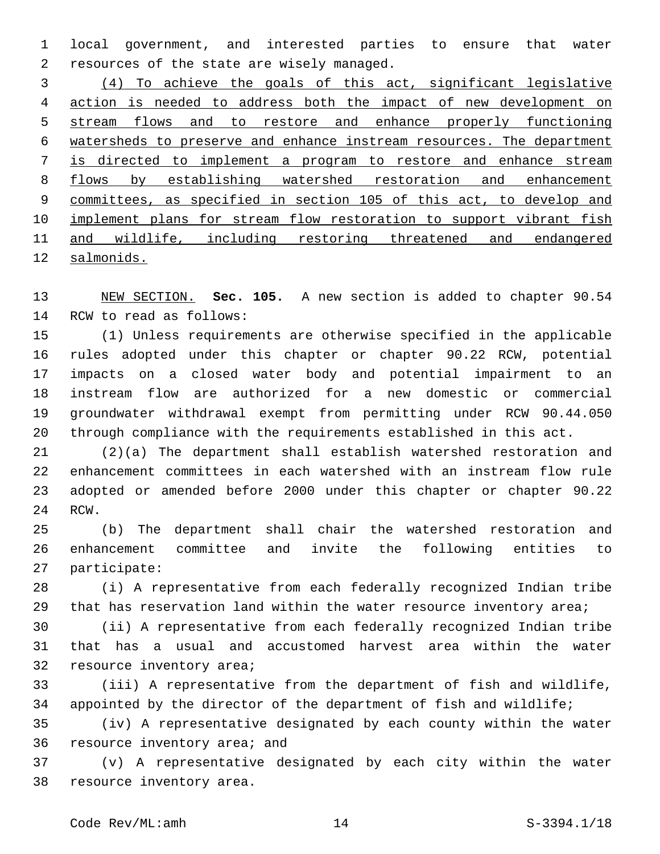local government, and interested parties to ensure that water 2 resources of the state are wisely managed.

 (4) To achieve the goals of this act, significant legislative action is needed to address both the impact of new development on stream flows and to restore and enhance properly functioning watersheds to preserve and enhance instream resources. The department is directed to implement a program to restore and enhance stream flows by establishing watershed restoration and enhancement committees, as specified in section 105 of this act, to develop and 10 implement plans for stream flow restoration to support vibrant fish and wildlife, including restoring threatened and endangered salmonids.

 NEW SECTION. **Sec. 105.** A new section is added to chapter 90.54 14 RCW to read as follows:

 (1) Unless requirements are otherwise specified in the applicable rules adopted under this chapter or chapter 90.22 RCW, potential impacts on a closed water body and potential impairment to an instream flow are authorized for a new domestic or commercial groundwater withdrawal exempt from permitting under RCW 90.44.050 through compliance with the requirements established in this act.

 (2)(a) The department shall establish watershed restoration and enhancement committees in each watershed with an instream flow rule adopted or amended before 2000 under this chapter or chapter 90.22 24 RCW.

 (b) The department shall chair the watershed restoration and enhancement committee and invite the following entities to 27 participate:

 (i) A representative from each federally recognized Indian tribe that has reservation land within the water resource inventory area;

 (ii) A representative from each federally recognized Indian tribe that has a usual and accustomed harvest area within the water 32 resource inventory area;

 (iii) A representative from the department of fish and wildlife, 34 appointed by the director of the department of fish and wildlife;

 (iv) A representative designated by each county within the water 36 resource inventory area; and

 (v) A representative designated by each city within the water 38 resource inventory area.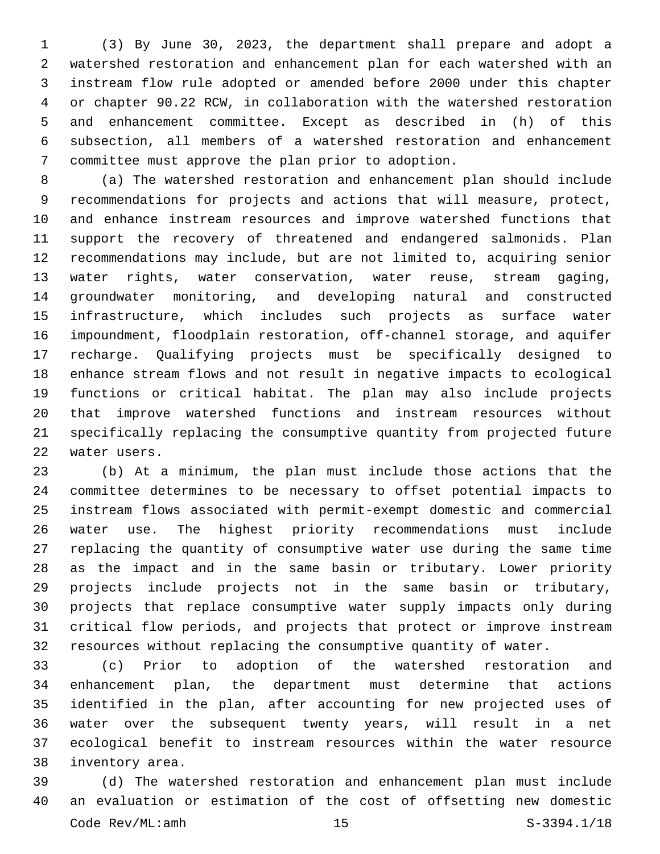(3) By June 30, 2023, the department shall prepare and adopt a watershed restoration and enhancement plan for each watershed with an instream flow rule adopted or amended before 2000 under this chapter or chapter 90.22 RCW, in collaboration with the watershed restoration and enhancement committee. Except as described in (h) of this subsection, all members of a watershed restoration and enhancement committee must approve the plan prior to adoption.7

 (a) The watershed restoration and enhancement plan should include recommendations for projects and actions that will measure, protect, and enhance instream resources and improve watershed functions that support the recovery of threatened and endangered salmonids. Plan recommendations may include, but are not limited to, acquiring senior water rights, water conservation, water reuse, stream gaging, groundwater monitoring, and developing natural and constructed infrastructure, which includes such projects as surface water impoundment, floodplain restoration, off-channel storage, and aquifer recharge. Qualifying projects must be specifically designed to enhance stream flows and not result in negative impacts to ecological functions or critical habitat. The plan may also include projects that improve watershed functions and instream resources without specifically replacing the consumptive quantity from projected future 22 water users.

 (b) At a minimum, the plan must include those actions that the committee determines to be necessary to offset potential impacts to instream flows associated with permit-exempt domestic and commercial water use. The highest priority recommendations must include replacing the quantity of consumptive water use during the same time as the impact and in the same basin or tributary. Lower priority projects include projects not in the same basin or tributary, projects that replace consumptive water supply impacts only during critical flow periods, and projects that protect or improve instream resources without replacing the consumptive quantity of water.

 (c) Prior to adoption of the watershed restoration and enhancement plan, the department must determine that actions identified in the plan, after accounting for new projected uses of water over the subsequent twenty years, will result in a net ecological benefit to instream resources within the water resource 38 inventory area.

 (d) The watershed restoration and enhancement plan must include an evaluation or estimation of the cost of offsetting new domestic Code Rev/ML:amh 15 S-3394.1/18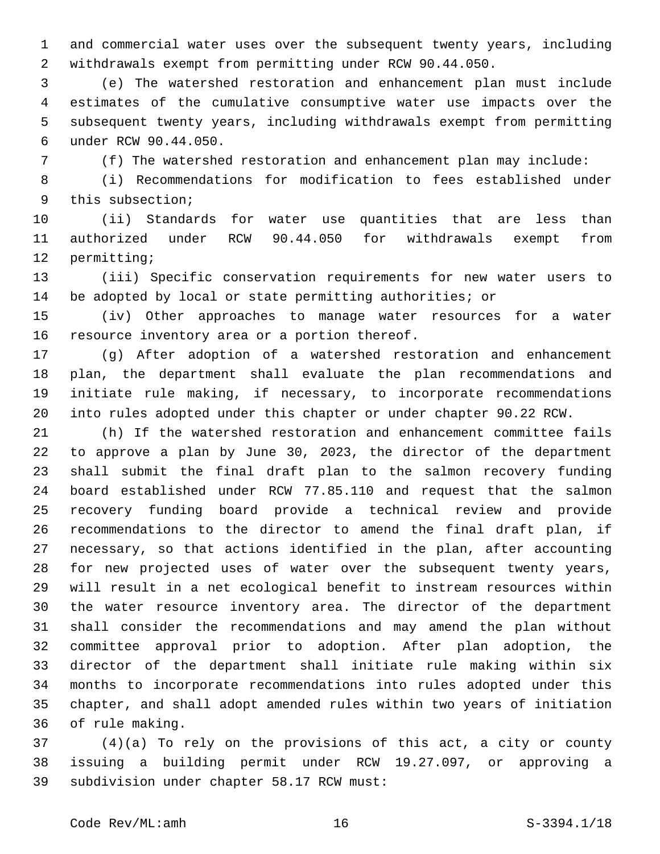and commercial water uses over the subsequent twenty years, including withdrawals exempt from permitting under RCW 90.44.050.

 (e) The watershed restoration and enhancement plan must include estimates of the cumulative consumptive water use impacts over the subsequent twenty years, including withdrawals exempt from permitting under RCW 90.44.050.6

(f) The watershed restoration and enhancement plan may include:

 (i) Recommendations for modification to fees established under 9 this subsection;

 (ii) Standards for water use quantities that are less than authorized under RCW 90.44.050 for withdrawals exempt from 12 permitting;

 (iii) Specific conservation requirements for new water users to be adopted by local or state permitting authorities; or

 (iv) Other approaches to manage water resources for a water 16 resource inventory area or a portion thereof.

 (g) After adoption of a watershed restoration and enhancement plan, the department shall evaluate the plan recommendations and initiate rule making, if necessary, to incorporate recommendations into rules adopted under this chapter or under chapter 90.22 RCW.

 (h) If the watershed restoration and enhancement committee fails to approve a plan by June 30, 2023, the director of the department shall submit the final draft plan to the salmon recovery funding board established under RCW 77.85.110 and request that the salmon recovery funding board provide a technical review and provide recommendations to the director to amend the final draft plan, if necessary, so that actions identified in the plan, after accounting for new projected uses of water over the subsequent twenty years, will result in a net ecological benefit to instream resources within the water resource inventory area. The director of the department shall consider the recommendations and may amend the plan without committee approval prior to adoption. After plan adoption, the director of the department shall initiate rule making within six months to incorporate recommendations into rules adopted under this chapter, and shall adopt amended rules within two years of initiation 36 of rule making.

 (4)(a) To rely on the provisions of this act, a city or county issuing a building permit under RCW 19.27.097, or approving a 39 subdivision under chapter 58.17 RCW must: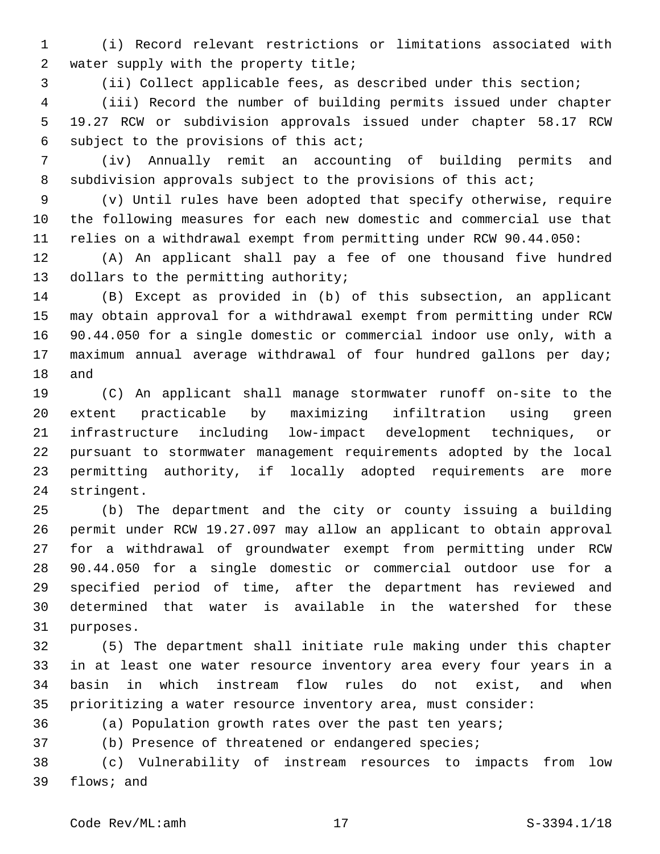(i) Record relevant restrictions or limitations associated with 2 water supply with the property title;

(ii) Collect applicable fees, as described under this section;

 (iii) Record the number of building permits issued under chapter 19.27 RCW or subdivision approvals issued under chapter 58.17 RCW 6 subject to the provisions of this  $acti$ 

 (iv) Annually remit an accounting of building permits and 8 subdivision approvals subject to the provisions of this act;

 (v) Until rules have been adopted that specify otherwise, require the following measures for each new domestic and commercial use that relies on a withdrawal exempt from permitting under RCW 90.44.050:

 (A) An applicant shall pay a fee of one thousand five hundred 13 dollars to the permitting authority;

 (B) Except as provided in (b) of this subsection, an applicant may obtain approval for a withdrawal exempt from permitting under RCW 90.44.050 for a single domestic or commercial indoor use only, with a maximum annual average withdrawal of four hundred gallons per day; 18 and

 (C) An applicant shall manage stormwater runoff on-site to the extent practicable by maximizing infiltration using green infrastructure including low-impact development techniques, or pursuant to stormwater management requirements adopted by the local permitting authority, if locally adopted requirements are more 24 stringent.

 (b) The department and the city or county issuing a building permit under RCW 19.27.097 may allow an applicant to obtain approval for a withdrawal of groundwater exempt from permitting under RCW 90.44.050 for a single domestic or commercial outdoor use for a specified period of time, after the department has reviewed and determined that water is available in the watershed for these 31 purposes.

 (5) The department shall initiate rule making under this chapter in at least one water resource inventory area every four years in a basin in which instream flow rules do not exist, and when prioritizing a water resource inventory area, must consider:

(a) Population growth rates over the past ten years;

(b) Presence of threatened or endangered species;

 (c) Vulnerability of instream resources to impacts from low 39 flows; and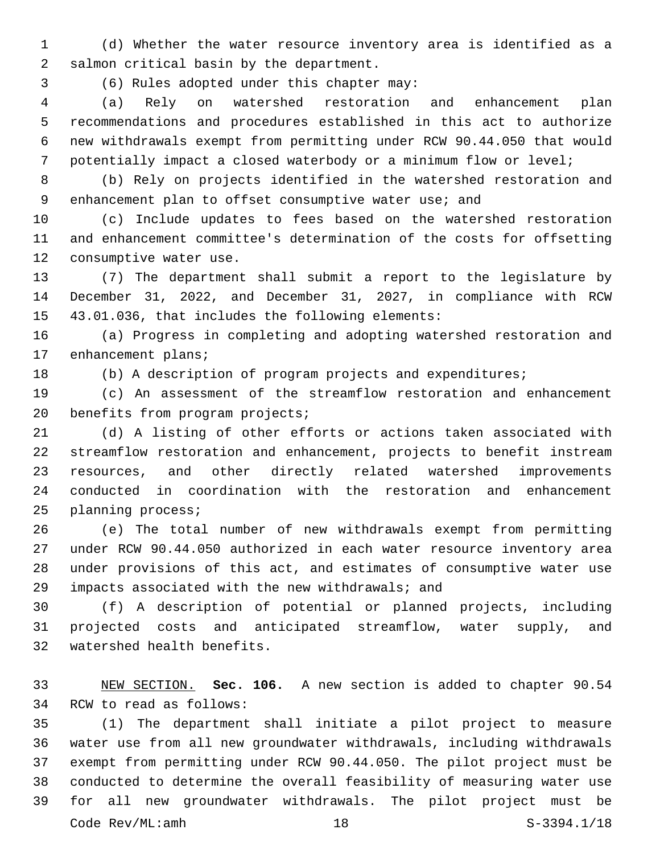(d) Whether the water resource inventory area is identified as a 2 salmon critical basin by the department.

(6) Rules adopted under this chapter may:3

 (a) Rely on watershed restoration and enhancement plan recommendations and procedures established in this act to authorize new withdrawals exempt from permitting under RCW 90.44.050 that would potentially impact a closed waterbody or a minimum flow or level;

 (b) Rely on projects identified in the watershed restoration and enhancement plan to offset consumptive water use; and

 (c) Include updates to fees based on the watershed restoration and enhancement committee's determination of the costs for offsetting 12 consumptive water use.

 (7) The department shall submit a report to the legislature by December 31, 2022, and December 31, 2027, in compliance with RCW 15 43.01.036, that includes the following elements:

 (a) Progress in completing and adopting watershed restoration and 17 enhancement plans;

(b) A description of program projects and expenditures;

 (c) An assessment of the streamflow restoration and enhancement 20 benefits from program projects;

 (d) A listing of other efforts or actions taken associated with streamflow restoration and enhancement, projects to benefit instream resources, and other directly related watershed improvements conducted in coordination with the restoration and enhancement 25 planning process;

 (e) The total number of new withdrawals exempt from permitting under RCW 90.44.050 authorized in each water resource inventory area under provisions of this act, and estimates of consumptive water use impacts associated with the new withdrawals; and

 (f) A description of potential or planned projects, including projected costs and anticipated streamflow, water supply, and 32 watershed health benefits.

 NEW SECTION. **Sec. 106.** A new section is added to chapter 90.54 34 RCW to read as follows:

 (1) The department shall initiate a pilot project to measure water use from all new groundwater withdrawals, including withdrawals exempt from permitting under RCW 90.44.050. The pilot project must be conducted to determine the overall feasibility of measuring water use for all new groundwater withdrawals. The pilot project must be Code Rev/ML:amh 18 S-3394.1/18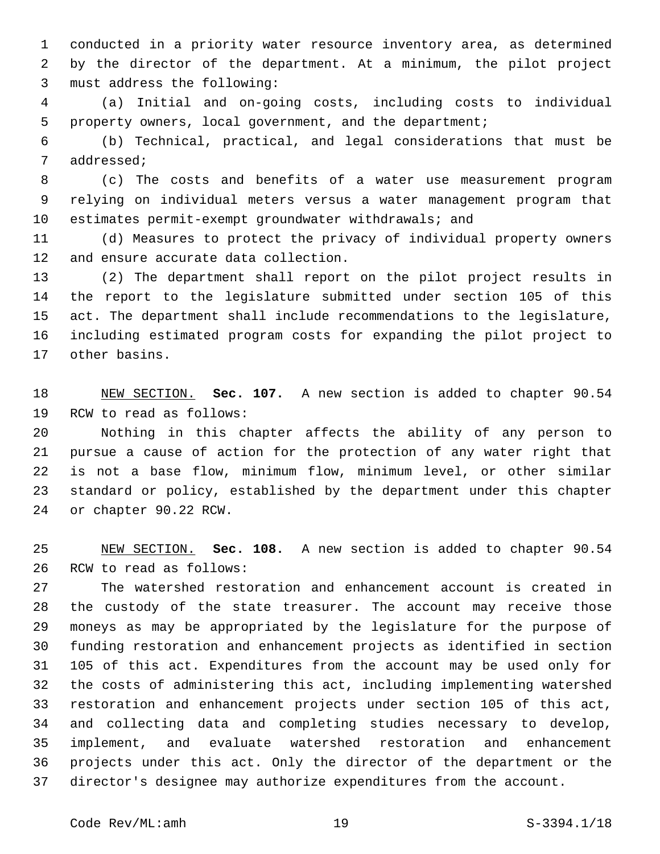conducted in a priority water resource inventory area, as determined by the director of the department. At a minimum, the pilot project 3 must address the following:

 (a) Initial and on-going costs, including costs to individual property owners, local government, and the department;

 (b) Technical, practical, and legal considerations that must be 7 addressed;

 (c) The costs and benefits of a water use measurement program relying on individual meters versus a water management program that estimates permit-exempt groundwater withdrawals; and

 (d) Measures to protect the privacy of individual property owners 12 and ensure accurate data collection.

 (2) The department shall report on the pilot project results in the report to the legislature submitted under section 105 of this act. The department shall include recommendations to the legislature, including estimated program costs for expanding the pilot project to 17 other basins.

 NEW SECTION. **Sec. 107.** A new section is added to chapter 90.54 19 RCW to read as follows:

 Nothing in this chapter affects the ability of any person to pursue a cause of action for the protection of any water right that is not a base flow, minimum flow, minimum level, or other similar standard or policy, established by the department under this chapter 24 or chapter 90.22 RCW.

 NEW SECTION. **Sec. 108.** A new section is added to chapter 90.54 26 RCW to read as follows:

 The watershed restoration and enhancement account is created in the custody of the state treasurer. The account may receive those moneys as may be appropriated by the legislature for the purpose of funding restoration and enhancement projects as identified in section 105 of this act. Expenditures from the account may be used only for the costs of administering this act, including implementing watershed restoration and enhancement projects under section 105 of this act, and collecting data and completing studies necessary to develop, implement, and evaluate watershed restoration and enhancement projects under this act. Only the director of the department or the director's designee may authorize expenditures from the account.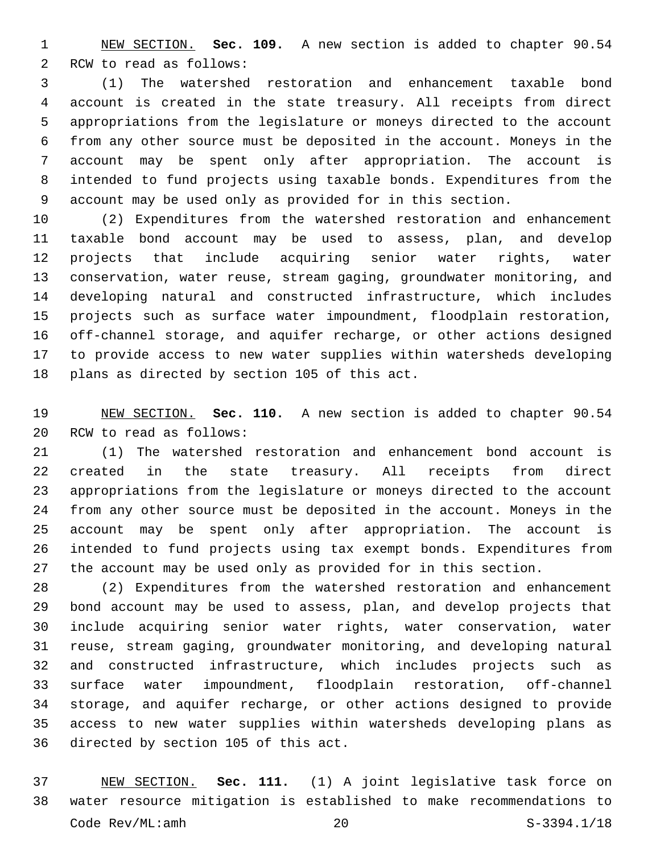NEW SECTION. **Sec. 109.** A new section is added to chapter 90.54 2 RCW to read as follows:

 (1) The watershed restoration and enhancement taxable bond account is created in the state treasury. All receipts from direct appropriations from the legislature or moneys directed to the account from any other source must be deposited in the account. Moneys in the account may be spent only after appropriation. The account is intended to fund projects using taxable bonds. Expenditures from the account may be used only as provided for in this section.

 (2) Expenditures from the watershed restoration and enhancement taxable bond account may be used to assess, plan, and develop projects that include acquiring senior water rights, water conservation, water reuse, stream gaging, groundwater monitoring, and developing natural and constructed infrastructure, which includes projects such as surface water impoundment, floodplain restoration, off-channel storage, and aquifer recharge, or other actions designed to provide access to new water supplies within watersheds developing 18 plans as directed by section 105 of this act.

 NEW SECTION. **Sec. 110.** A new section is added to chapter 90.54 20 RCW to read as follows:

 (1) The watershed restoration and enhancement bond account is created in the state treasury. All receipts from direct appropriations from the legislature or moneys directed to the account from any other source must be deposited in the account. Moneys in the account may be spent only after appropriation. The account is intended to fund projects using tax exempt bonds. Expenditures from the account may be used only as provided for in this section.

 (2) Expenditures from the watershed restoration and enhancement bond account may be used to assess, plan, and develop projects that include acquiring senior water rights, water conservation, water reuse, stream gaging, groundwater monitoring, and developing natural and constructed infrastructure, which includes projects such as surface water impoundment, floodplain restoration, off-channel storage, and aquifer recharge, or other actions designed to provide access to new water supplies within watersheds developing plans as 36 directed by section 105 of this act.

 NEW SECTION. **Sec. 111.** (1) A joint legislative task force on water resource mitigation is established to make recommendations to Code Rev/ML:amh 20 S-3394.1/18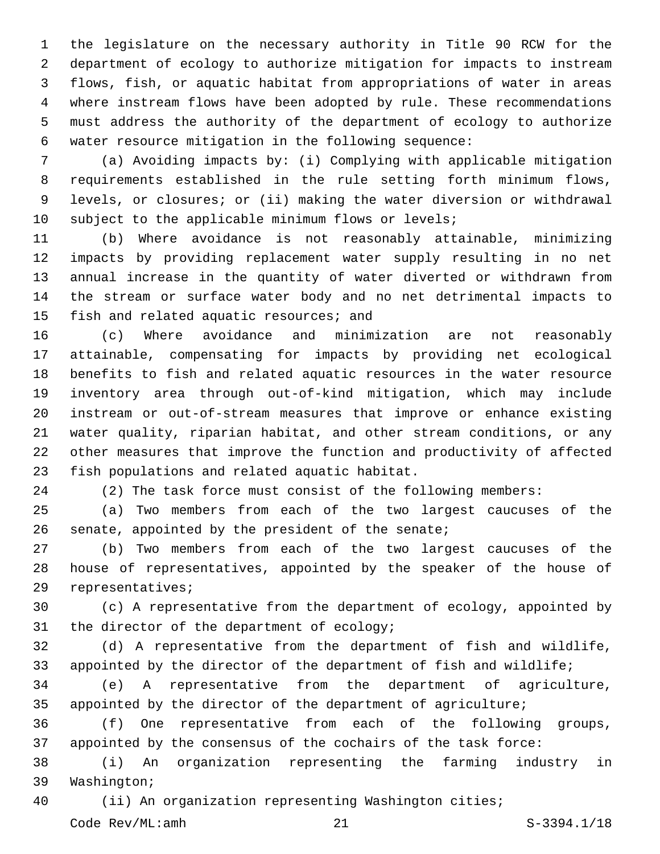the legislature on the necessary authority in Title 90 RCW for the department of ecology to authorize mitigation for impacts to instream flows, fish, or aquatic habitat from appropriations of water in areas where instream flows have been adopted by rule. These recommendations must address the authority of the department of ecology to authorize water resource mitigation in the following sequence:

 (a) Avoiding impacts by: (i) Complying with applicable mitigation requirements established in the rule setting forth minimum flows, levels, or closures; or (ii) making the water diversion or withdrawal subject to the applicable minimum flows or levels;

 (b) Where avoidance is not reasonably attainable, minimizing impacts by providing replacement water supply resulting in no net annual increase in the quantity of water diverted or withdrawn from the stream or surface water body and no net detrimental impacts to 15 fish and related aquatic resources; and

 (c) Where avoidance and minimization are not reasonably attainable, compensating for impacts by providing net ecological benefits to fish and related aquatic resources in the water resource inventory area through out-of-kind mitigation, which may include instream or out-of-stream measures that improve or enhance existing water quality, riparian habitat, and other stream conditions, or any other measures that improve the function and productivity of affected 23 fish populations and related aquatic habitat.

(2) The task force must consist of the following members:

 (a) Two members from each of the two largest caucuses of the 26 senate, appointed by the president of the senate;

 (b) Two members from each of the two largest caucuses of the house of representatives, appointed by the speaker of the house of 29 representatives;

 (c) A representative from the department of ecology, appointed by 31 the director of the department of ecology;

 (d) A representative from the department of fish and wildlife, appointed by the director of the department of fish and wildlife;

 (e) A representative from the department of agriculture, appointed by the director of the department of agriculture;

 (f) One representative from each of the following groups, appointed by the consensus of the cochairs of the task force:

 (i) An organization representing the farming industry in 39 Washington;

(ii) An organization representing Washington cities;

Code Rev/ML:amh 21 S-3394.1/18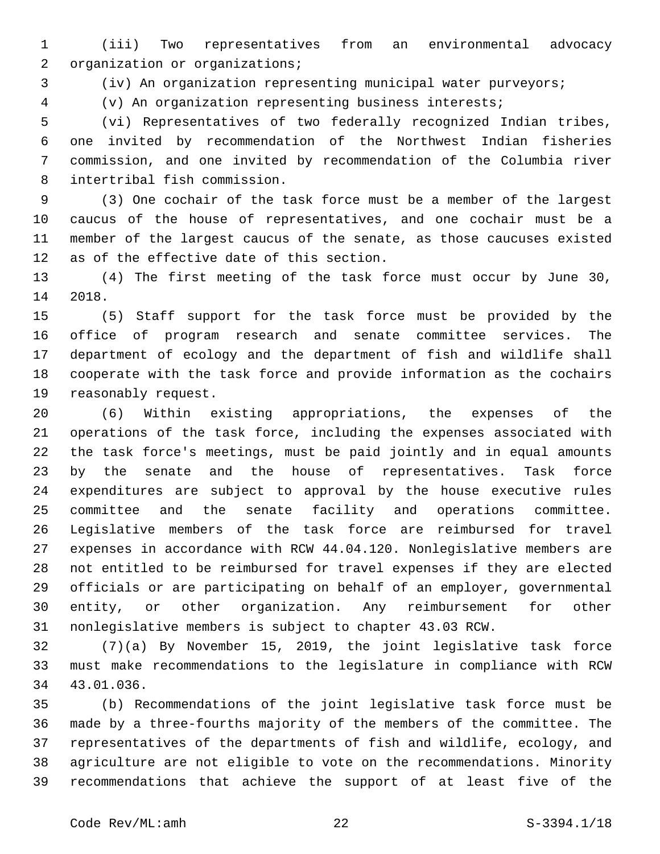(iii) Two representatives from an environmental advocacy 2 organization or organizations;

(iv) An organization representing municipal water purveyors;

(v) An organization representing business interests;

 (vi) Representatives of two federally recognized Indian tribes, one invited by recommendation of the Northwest Indian fisheries commission, and one invited by recommendation of the Columbia river 8 intertribal fish commission.

 (3) One cochair of the task force must be a member of the largest caucus of the house of representatives, and one cochair must be a member of the largest caucus of the senate, as those caucuses existed 12 as of the effective date of this section.

 (4) The first meeting of the task force must occur by June 30, 14 2018.

 (5) Staff support for the task force must be provided by the office of program research and senate committee services. The department of ecology and the department of fish and wildlife shall cooperate with the task force and provide information as the cochairs 19 reasonably request.

 (6) Within existing appropriations, the expenses of the operations of the task force, including the expenses associated with the task force's meetings, must be paid jointly and in equal amounts by the senate and the house of representatives. Task force expenditures are subject to approval by the house executive rules committee and the senate facility and operations committee. Legislative members of the task force are reimbursed for travel expenses in accordance with RCW 44.04.120. Nonlegislative members are not entitled to be reimbursed for travel expenses if they are elected officials or are participating on behalf of an employer, governmental entity, or other organization. Any reimbursement for other nonlegislative members is subject to chapter 43.03 RCW.

 (7)(a) By November 15, 2019, the joint legislative task force must make recommendations to the legislature in compliance with RCW 34 43.01.036.

 (b) Recommendations of the joint legislative task force must be made by a three-fourths majority of the members of the committee. The representatives of the departments of fish and wildlife, ecology, and agriculture are not eligible to vote on the recommendations. Minority recommendations that achieve the support of at least five of the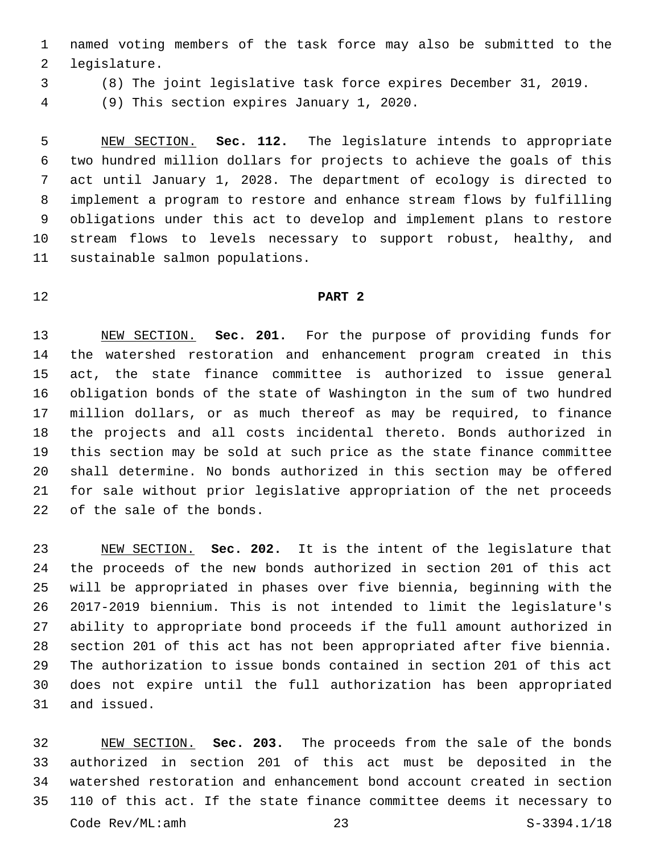named voting members of the task force may also be submitted to the 2 legislature.

(8) The joint legislative task force expires December 31, 2019.

(9) This section expires January 1, 2020.4

 NEW SECTION. **Sec. 112.** The legislature intends to appropriate two hundred million dollars for projects to achieve the goals of this act until January 1, 2028. The department of ecology is directed to implement a program to restore and enhance stream flows by fulfilling obligations under this act to develop and implement plans to restore stream flows to levels necessary to support robust, healthy, and sustainable salmon populations.

## **PART 2**

 NEW SECTION. **Sec. 201.** For the purpose of providing funds for the watershed restoration and enhancement program created in this act, the state finance committee is authorized to issue general obligation bonds of the state of Washington in the sum of two hundred million dollars, or as much thereof as may be required, to finance the projects and all costs incidental thereto. Bonds authorized in this section may be sold at such price as the state finance committee shall determine. No bonds authorized in this section may be offered for sale without prior legislative appropriation of the net proceeds of the sale of the bonds.

 NEW SECTION. **Sec. 202.** It is the intent of the legislature that the proceeds of the new bonds authorized in section 201 of this act will be appropriated in phases over five biennia, beginning with the 2017-2019 biennium. This is not intended to limit the legislature's ability to appropriate bond proceeds if the full amount authorized in section 201 of this act has not been appropriated after five biennia. The authorization to issue bonds contained in section 201 of this act does not expire until the full authorization has been appropriated and issued.

 NEW SECTION. **Sec. 203.** The proceeds from the sale of the bonds authorized in section 201 of this act must be deposited in the watershed restoration and enhancement bond account created in section 110 of this act. If the state finance committee deems it necessary to Code Rev/ML:amh 23 S-3394.1/18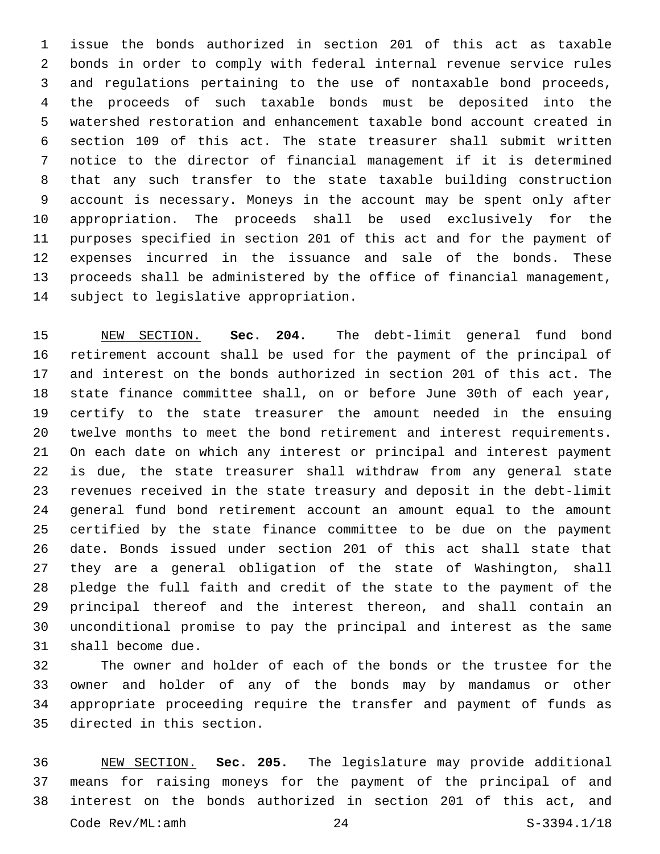issue the bonds authorized in section 201 of this act as taxable bonds in order to comply with federal internal revenue service rules and regulations pertaining to the use of nontaxable bond proceeds, the proceeds of such taxable bonds must be deposited into the watershed restoration and enhancement taxable bond account created in section 109 of this act. The state treasurer shall submit written notice to the director of financial management if it is determined that any such transfer to the state taxable building construction account is necessary. Moneys in the account may be spent only after appropriation. The proceeds shall be used exclusively for the purposes specified in section 201 of this act and for the payment of expenses incurred in the issuance and sale of the bonds. These proceeds shall be administered by the office of financial management, 14 subject to legislative appropriation.

 NEW SECTION. **Sec. 204.** The debt-limit general fund bond retirement account shall be used for the payment of the principal of and interest on the bonds authorized in section 201 of this act. The state finance committee shall, on or before June 30th of each year, certify to the state treasurer the amount needed in the ensuing twelve months to meet the bond retirement and interest requirements. On each date on which any interest or principal and interest payment is due, the state treasurer shall withdraw from any general state revenues received in the state treasury and deposit in the debt-limit general fund bond retirement account an amount equal to the amount certified by the state finance committee to be due on the payment date. Bonds issued under section 201 of this act shall state that they are a general obligation of the state of Washington, shall pledge the full faith and credit of the state to the payment of the principal thereof and the interest thereon, and shall contain an unconditional promise to pay the principal and interest as the same shall become due.

 The owner and holder of each of the bonds or the trustee for the owner and holder of any of the bonds may by mandamus or other appropriate proceeding require the transfer and payment of funds as 35 directed in this section.

 NEW SECTION. **Sec. 205.** The legislature may provide additional means for raising moneys for the payment of the principal of and interest on the bonds authorized in section 201 of this act, and Code Rev/ML:amh 24 S-3394.1/18